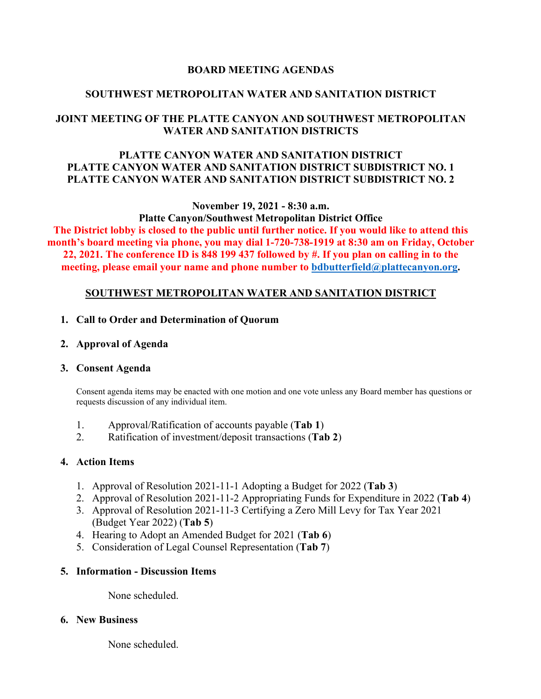### **BOARD MEETING AGENDAS**

### **SOUTHWEST METROPOLITAN WATER AND SANITATION DISTRICT**

## **JOINT MEETING OF THE PLATTE CANYON AND SOUTHWEST METROPOLITAN WATER AND SANITATION DISTRICTS**

### **PLATTE CANYON WATER AND SANITATION DISTRICT PLATTE CANYON WATER AND SANITATION DISTRICT SUBDISTRICT NO. 1 PLATTE CANYON WATER AND SANITATION DISTRICT SUBDISTRICT NO. 2**

**November 19, 2021 - 8:30 a.m.**

**Platte Canyon/Southwest Metropolitan District Office The District lobby is closed to the public until further notice. If you would like to attend this month's board meeting via phone, you may dial 1-720-738-1919 at 8:30 am on Friday, October 22, 2021. The conference ID is 848 199 437 followed by #. If you plan on calling in to the meeting, please email your name and phone number to [bdbutterfield@plattecanyon.org.](mailto:bdbutterfield@plattecanyon.org)**

### **SOUTHWEST METROPOLITAN WATER AND SANITATION DISTRICT**

#### **1. Call to Order and Determination of Quorum**

**2. Approval of Agenda**

### **3. Consent Agenda**

Consent agenda items may be enacted with one motion and one vote unless any Board member has questions or requests discussion of any individual item.

- 1. Approval/Ratification of accounts payable (**Tab 1**)
- 2. Ratification of investment/deposit transactions (**Tab 2**)

### **4. Action Items**

- 1. Approval of Resolution 2021-11-1 Adopting a Budget for 2022 (**Tab 3**)
- 2. Approval of Resolution 2021-11-2 Appropriating Funds for Expenditure in 2022 (**Tab 4**)
- 3. Approval of Resolution 2021-11-3 Certifying a Zero Mill Levy for Tax Year 2021 (Budget Year 2022) (**Tab 5**)
- 4. Hearing to Adopt an Amended Budget for 2021 (**Tab 6**)
- 5. Consideration of Legal Counsel Representation (**Tab 7**)

### **5. Information - Discussion Items**

None scheduled.

### **6. New Business**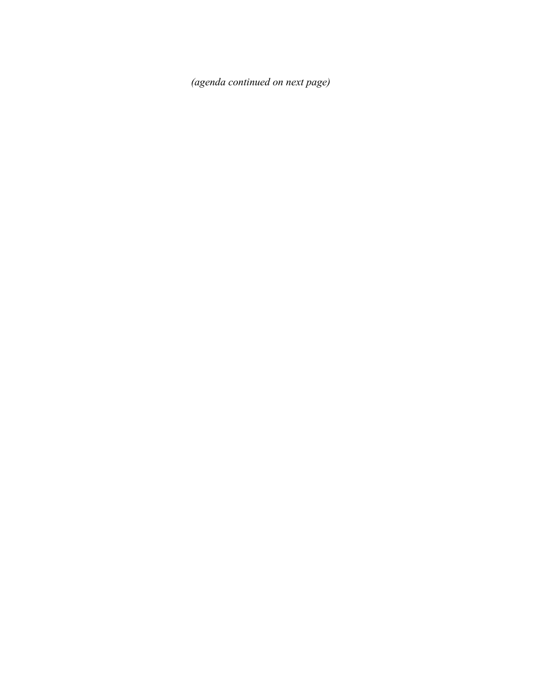*(agenda continued on next page)*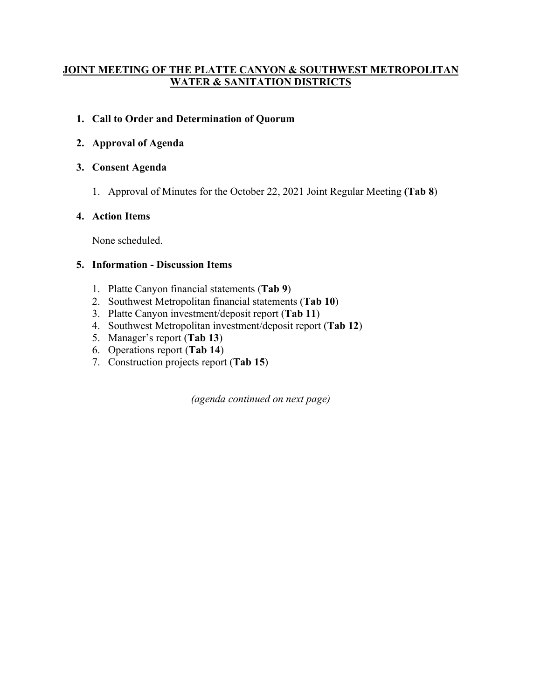## **JOINT MEETING OF THE PLATTE CANYON & SOUTHWEST METROPOLITAN WATER & SANITATION DISTRICTS**

## **1. Call to Order and Determination of Quorum**

# **2. Approval of Agenda**

## **3. Consent Agenda**

1. Approval of Minutes for the October 22, 2021 Joint Regular Meeting **(Tab 8**)

# **4. Action Items**

None scheduled.

## **5. Information - Discussion Items**

- 1. Platte Canyon financial statements (**Tab 9**)
- 2. Southwest Metropolitan financial statements (**Tab 10**)
- 3. Platte Canyon investment/deposit report (**Tab 11**)
- 4. Southwest Metropolitan investment/deposit report (**Tab 12**)
- 5. Manager's report (**Tab 13**)
- 6. Operations report (**Tab 14**)
- 7. Construction projects report (**Tab 15**)

*(agenda continued on next page)*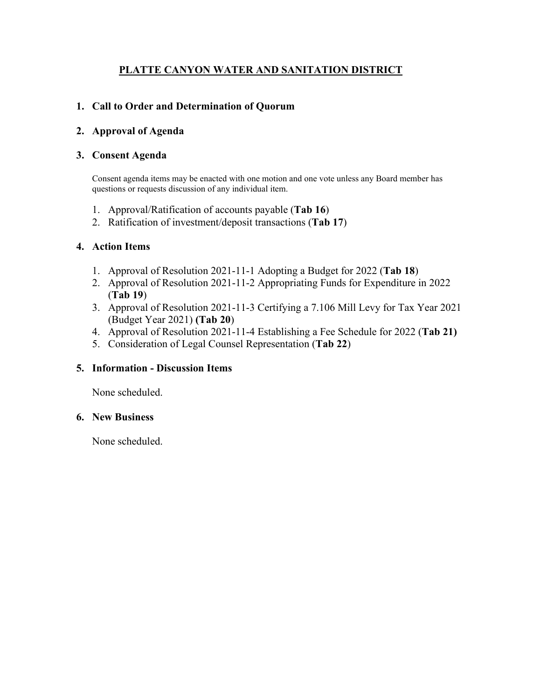# **PLATTE CANYON WATER AND SANITATION DISTRICT**

## **1. Call to Order and Determination of Quorum**

### **2. Approval of Agenda**

### **3. Consent Agenda**

Consent agenda items may be enacted with one motion and one vote unless any Board member has questions or requests discussion of any individual item.

- 1. Approval/Ratification of accounts payable (**Tab 16**)
- 2. Ratification of investment/deposit transactions (**Tab 17**)

### **4. Action Items**

- 1. Approval of Resolution 2021-11-1 Adopting a Budget for 2022 (**Tab 18**)
- 2. Approval of Resolution 2021-11-2 Appropriating Funds for Expenditure in 2022 (**Tab 19**)
- 3. Approval of Resolution 2021-11-3 Certifying a 7.106 Mill Levy for Tax Year 2021 (Budget Year 2021) **(Tab 20**)
- 4. Approval of Resolution 2021-11-4 Establishing a Fee Schedule for 2022 (**Tab 21)**
- 5. Consideration of Legal Counsel Representation (**Tab 22**)

### **5. Information - Discussion Items**

None scheduled.

#### **6. New Business**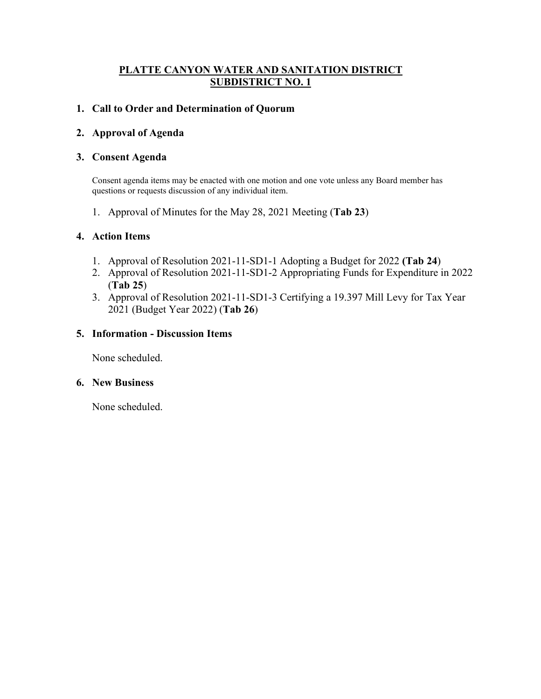### **PLATTE CANYON WATER AND SANITATION DISTRICT SUBDISTRICT NO. 1**

### **1. Call to Order and Determination of Quorum**

### **2. Approval of Agenda**

#### **3. Consent Agenda**

Consent agenda items may be enacted with one motion and one vote unless any Board member has questions or requests discussion of any individual item.

1. Approval of Minutes for the May 28, 2021 Meeting (**Tab 23**)

### **4. Action Items**

- 1. Approval of Resolution 2021-11-SD1-1 Adopting a Budget for 2022 **(Tab 24**)
- 2. Approval of Resolution 2021-11-SD1-2 Appropriating Funds for Expenditure in 2022 (**Tab 25**)
- 3. Approval of Resolution 2021-11-SD1-3 Certifying a 19.397 Mill Levy for Tax Year 2021 (Budget Year 2022) (**Tab 26**)

### **5. Information - Discussion Items**

None scheduled.

#### **6. New Business**